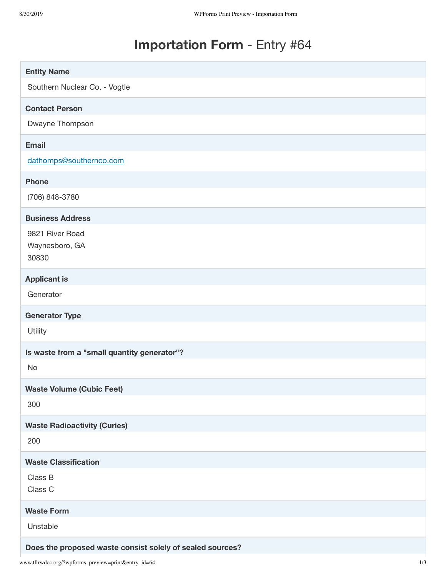## **Importation Form** - Entry #64

| <b>Entity Name</b>                          |
|---------------------------------------------|
| Southern Nuclear Co. - Vogtle               |
| <b>Contact Person</b>                       |
| Dwayne Thompson                             |
| <b>Email</b>                                |
| dathomps@southernco.com                     |
| <b>Phone</b>                                |
| (706) 848-3780                              |
| <b>Business Address</b>                     |
| 9821 River Road                             |
| Waynesboro, GA                              |
| 30830                                       |
| <b>Applicant is</b>                         |
| Generator                                   |
| <b>Generator Type</b>                       |
| Utility                                     |
|                                             |
| Is waste from a "small quantity generator"? |
| No                                          |
| <b>Waste Volume (Cubic Feet)</b>            |
| 300                                         |
| <b>Waste Radioactivity (Curies)</b>         |
| 200                                         |
| <b>Waste Classification</b>                 |
| Class B                                     |
| Class C                                     |
| <b>Waste Form</b>                           |
| Unstable                                    |